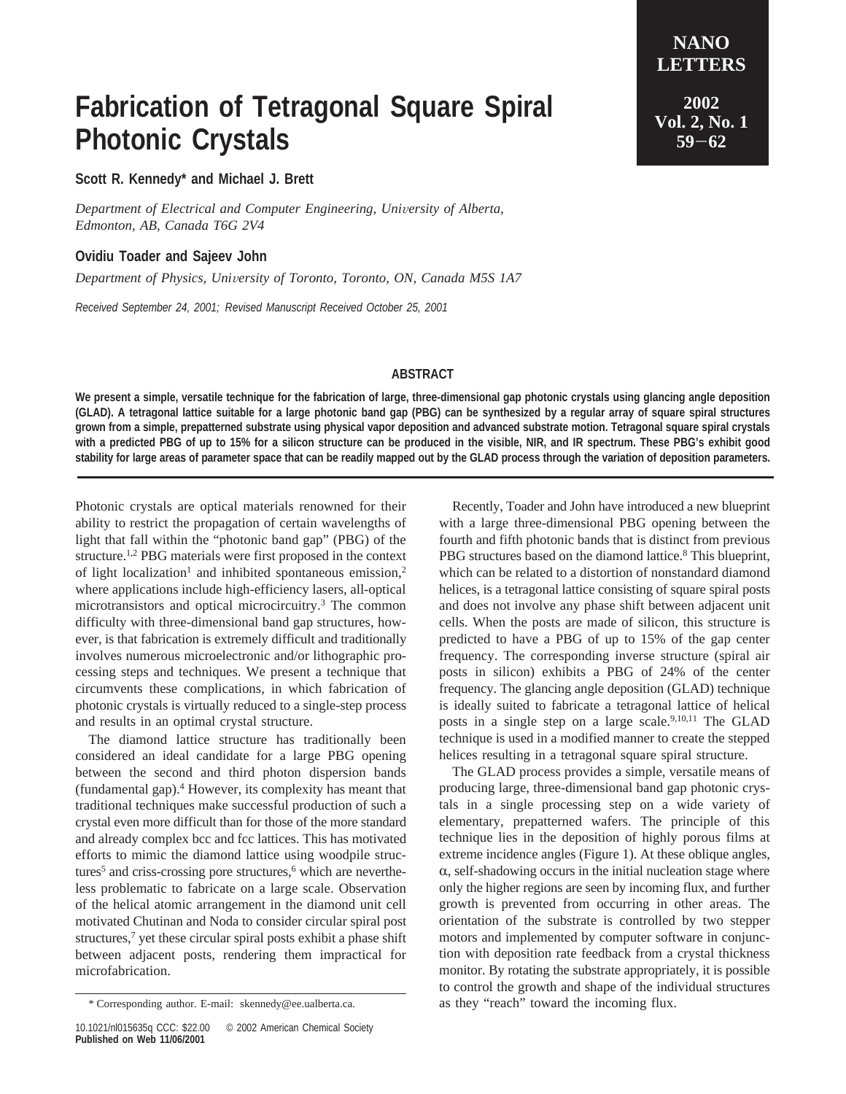## **Fabrication of Tetragonal Square Spiral Photonic Crystals**

**Scott R. Kennedy\* and Michael J. Brett**

*Department of Electrical and Computer Engineering, University of Alberta, Edmonton, AB, Canada T6G 2V4*

## **Ovidiu Toader and Sajeev John**

*Department of Physics, Uni*V*ersity of Toronto, Toronto, ON, Canada M5S 1A7*

*Received September 24, 2001; Revised Manuscript Received October 25, 2001*

## **ABSTRACT**

**We present a simple, versatile technique for the fabrication of large, three-dimensional gap photonic crystals using glancing angle deposition (GLAD). A tetragonal lattice suitable for a large photonic band gap (PBG) can be synthesized by a regular array of square spiral structures grown from a simple, prepatterned substrate using physical vapor deposition and advanced substrate motion. Tetragonal square spiral crystals with a predicted PBG of up to 15% for a silicon structure can be produced in the visible, NIR, and IR spectrum. These PBG's exhibit good stability for large areas of parameter space that can be readily mapped out by the GLAD process through the variation of deposition parameters.**

Photonic crystals are optical materials renowned for their ability to restrict the propagation of certain wavelengths of light that fall within the "photonic band gap" (PBG) of the structure.1,2 PBG materials were first proposed in the context of light localization<sup>1</sup> and inhibited spontaneous emission,<sup>2</sup> where applications include high-efficiency lasers, all-optical microtransistors and optical microcircuitry.3 The common difficulty with three-dimensional band gap structures, however, is that fabrication is extremely difficult and traditionally involves numerous microelectronic and/or lithographic processing steps and techniques. We present a technique that circumvents these complications, in which fabrication of photonic crystals is virtually reduced to a single-step process and results in an optimal crystal structure.

The diamond lattice structure has traditionally been considered an ideal candidate for a large PBG opening between the second and third photon dispersion bands (fundamental gap).4 However, its complexity has meant that traditional techniques make successful production of such a crystal even more difficult than for those of the more standard and already complex bcc and fcc lattices. This has motivated efforts to mimic the diamond lattice using woodpile structures<sup>5</sup> and criss-crossing pore structures, $6$  which are nevertheless problematic to fabricate on a large scale. Observation of the helical atomic arrangement in the diamond unit cell motivated Chutinan and Noda to consider circular spiral post structures, $\frac{7}{1}$  yet these circular spiral posts exhibit a phase shift between adjacent posts, rendering them impractical for microfabrication.

Recently, Toader and John have introduced a new blueprint with a large three-dimensional PBG opening between the fourth and fifth photonic bands that is distinct from previous PBG structures based on the diamond lattice.<sup>8</sup> This blueprint, which can be related to a distortion of nonstandard diamond helices, is a tetragonal lattice consisting of square spiral posts and does not involve any phase shift between adjacent unit cells. When the posts are made of silicon, this structure is predicted to have a PBG of up to 15% of the gap center frequency. The corresponding inverse structure (spiral air posts in silicon) exhibits a PBG of 24% of the center frequency. The glancing angle deposition (GLAD) technique is ideally suited to fabricate a tetragonal lattice of helical posts in a single step on a large scale.<sup>9,10,11</sup> The GLAD technique is used in a modified manner to create the stepped helices resulting in a tetragonal square spiral structure.

The GLAD process provides a simple, versatile means of producing large, three-dimensional band gap photonic crystals in a single processing step on a wide variety of elementary, prepatterned wafers. The principle of this technique lies in the deposition of highly porous films at extreme incidence angles (Figure 1). At these oblique angles,  $\alpha$ , self-shadowing occurs in the initial nucleation stage where only the higher regions are seen by incoming flux, and further growth is prevented from occurring in other areas. The orientation of the substrate is controlled by two stepper motors and implemented by computer software in conjunction with deposition rate feedback from a crystal thickness monitor. By rotating the substrate appropriately, it is possible to control the growth and shape of the individual structures \* Corresponding author. E-mail: skennedy@ee.ualberta.ca. as they "reach" toward the incoming flux.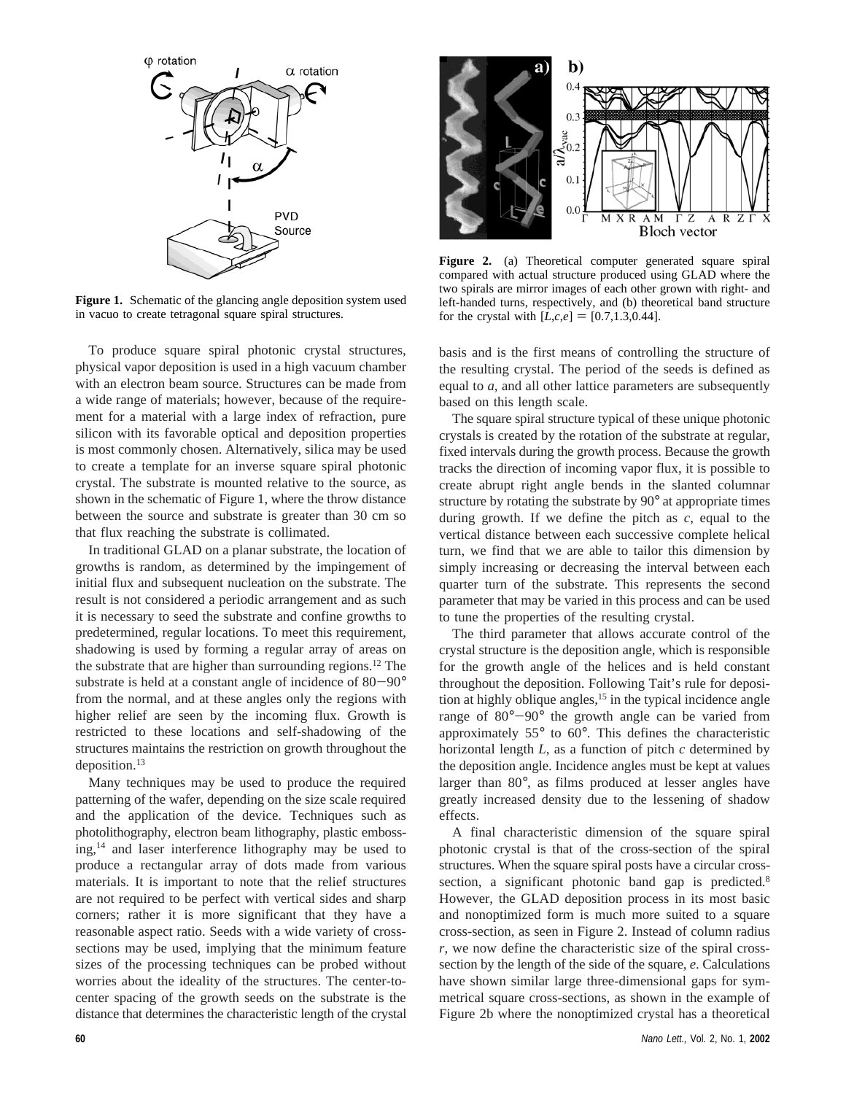

**Figure 1.** Schematic of the glancing angle deposition system used in vacuo to create tetragonal square spiral structures.

To produce square spiral photonic crystal structures, physical vapor deposition is used in a high vacuum chamber with an electron beam source. Structures can be made from a wide range of materials; however, because of the requirement for a material with a large index of refraction, pure silicon with its favorable optical and deposition properties is most commonly chosen. Alternatively, silica may be used to create a template for an inverse square spiral photonic crystal. The substrate is mounted relative to the source, as shown in the schematic of Figure 1, where the throw distance between the source and substrate is greater than 30 cm so that flux reaching the substrate is collimated.

In traditional GLAD on a planar substrate, the location of growths is random, as determined by the impingement of initial flux and subsequent nucleation on the substrate. The result is not considered a periodic arrangement and as such it is necessary to seed the substrate and confine growths to predetermined, regular locations. To meet this requirement, shadowing is used by forming a regular array of areas on the substrate that are higher than surrounding regions.12 The substrate is held at a constant angle of incidence of  $80-90^\circ$ from the normal, and at these angles only the regions with higher relief are seen by the incoming flux. Growth is restricted to these locations and self-shadowing of the structures maintains the restriction on growth throughout the deposition.13

Many techniques may be used to produce the required patterning of the wafer, depending on the size scale required and the application of the device. Techniques such as photolithography, electron beam lithography, plastic embossing,14 and laser interference lithography may be used to produce a rectangular array of dots made from various materials. It is important to note that the relief structures are not required to be perfect with vertical sides and sharp corners; rather it is more significant that they have a reasonable aspect ratio. Seeds with a wide variety of crosssections may be used, implying that the minimum feature sizes of the processing techniques can be probed without worries about the ideality of the structures. The center-tocenter spacing of the growth seeds on the substrate is the distance that determines the characteristic length of the crystal



**Figure 2.** (a) Theoretical computer generated square spiral compared with actual structure produced using GLAD where the two spirals are mirror images of each other grown with right- and left-handed turns, respectively, and (b) theoretical band structure for the crystal with  $[L, c, e] = [0.7, 1.3, 0.44]$ .

basis and is the first means of controlling the structure of the resulting crystal. The period of the seeds is defined as equal to *a*, and all other lattice parameters are subsequently based on this length scale.

The square spiral structure typical of these unique photonic crystals is created by the rotation of the substrate at regular, fixed intervals during the growth process. Because the growth tracks the direction of incoming vapor flux, it is possible to create abrupt right angle bends in the slanted columnar structure by rotating the substrate by 90° at appropriate times during growth. If we define the pitch as *c*, equal to the vertical distance between each successive complete helical turn, we find that we are able to tailor this dimension by simply increasing or decreasing the interval between each quarter turn of the substrate. This represents the second parameter that may be varied in this process and can be used to tune the properties of the resulting crystal.

The third parameter that allows accurate control of the crystal structure is the deposition angle, which is responsible for the growth angle of the helices and is held constant throughout the deposition. Following Tait's rule for deposition at highly oblique angles, $15$  in the typical incidence angle range of 80°-90° the growth angle can be varied from approximately 55° to 60°. This defines the characteristic horizontal length *L*, as a function of pitch *c* determined by the deposition angle. Incidence angles must be kept at values larger than 80°, as films produced at lesser angles have greatly increased density due to the lessening of shadow effects.

A final characteristic dimension of the square spiral photonic crystal is that of the cross-section of the spiral structures. When the square spiral posts have a circular crosssection, a significant photonic band gap is predicted.<sup>8</sup> However, the GLAD deposition process in its most basic and nonoptimized form is much more suited to a square cross-section, as seen in Figure 2. Instead of column radius *r*, we now define the characteristic size of the spiral crosssection by the length of the side of the square, *e*. Calculations have shown similar large three-dimensional gaps for symmetrical square cross-sections, as shown in the example of Figure 2b where the nonoptimized crystal has a theoretical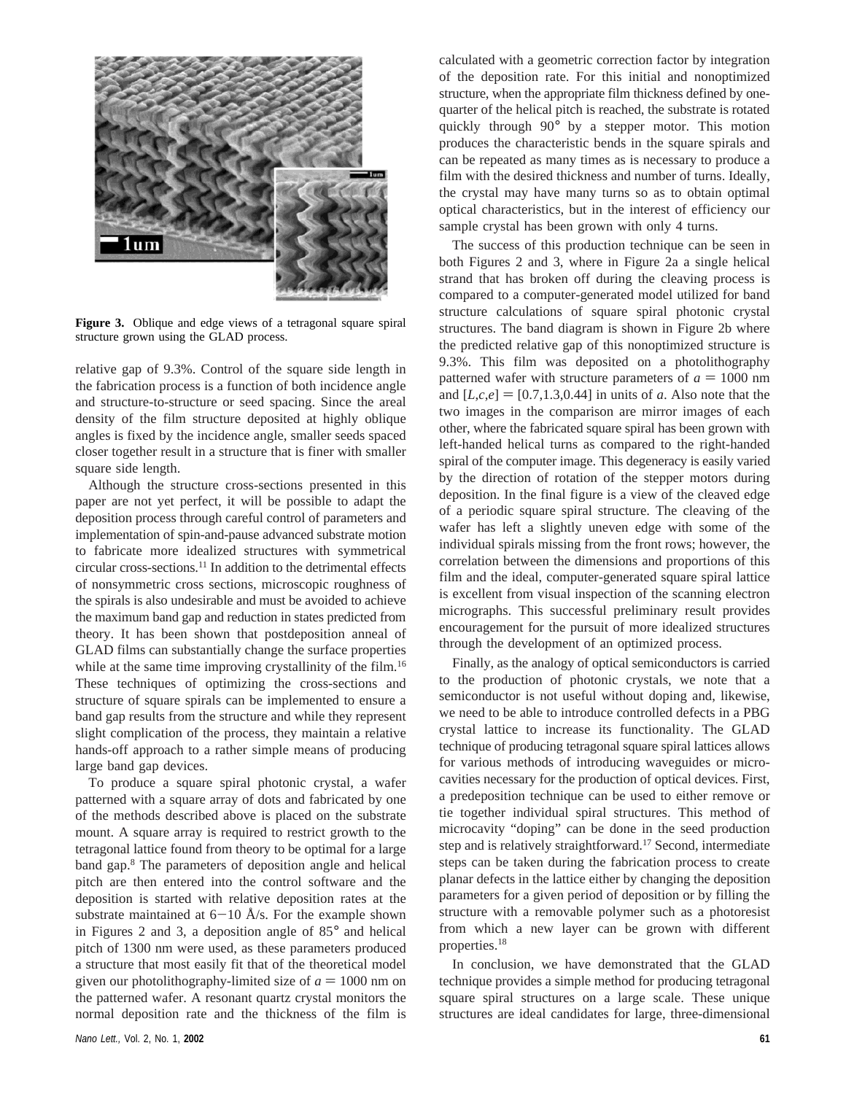

**Figure 3.** Oblique and edge views of a tetragonal square spiral structure grown using the GLAD process.

relative gap of 9.3%. Control of the square side length in the fabrication process is a function of both incidence angle and structure-to-structure or seed spacing. Since the areal density of the film structure deposited at highly oblique angles is fixed by the incidence angle, smaller seeds spaced closer together result in a structure that is finer with smaller square side length.

Although the structure cross-sections presented in this paper are not yet perfect, it will be possible to adapt the deposition process through careful control of parameters and implementation of spin-and-pause advanced substrate motion to fabricate more idealized structures with symmetrical circular cross-sections.11 In addition to the detrimental effects of nonsymmetric cross sections, microscopic roughness of the spirals is also undesirable and must be avoided to achieve the maximum band gap and reduction in states predicted from theory. It has been shown that postdeposition anneal of GLAD films can substantially change the surface properties while at the same time improving crystallinity of the film.<sup>16</sup> These techniques of optimizing the cross-sections and structure of square spirals can be implemented to ensure a band gap results from the structure and while they represent slight complication of the process, they maintain a relative hands-off approach to a rather simple means of producing large band gap devices.

To produce a square spiral photonic crystal, a wafer patterned with a square array of dots and fabricated by one of the methods described above is placed on the substrate mount. A square array is required to restrict growth to the tetragonal lattice found from theory to be optimal for a large band gap.8 The parameters of deposition angle and helical pitch are then entered into the control software and the deposition is started with relative deposition rates at the substrate maintained at  $6-10$  Å/s. For the example shown in Figures 2 and 3, a deposition angle of 85° and helical pitch of 1300 nm were used, as these parameters produced a structure that most easily fit that of the theoretical model given our photolithography-limited size of  $a = 1000$  nm on the patterned wafer. A resonant quartz crystal monitors the normal deposition rate and the thickness of the film is

calculated with a geometric correction factor by integration of the deposition rate. For this initial and nonoptimized structure, when the appropriate film thickness defined by onequarter of the helical pitch is reached, the substrate is rotated quickly through 90° by a stepper motor. This motion produces the characteristic bends in the square spirals and can be repeated as many times as is necessary to produce a film with the desired thickness and number of turns. Ideally, the crystal may have many turns so as to obtain optimal optical characteristics, but in the interest of efficiency our sample crystal has been grown with only 4 turns.

The success of this production technique can be seen in both Figures 2 and 3, where in Figure 2a a single helical strand that has broken off during the cleaving process is compared to a computer-generated model utilized for band structure calculations of square spiral photonic crystal structures. The band diagram is shown in Figure 2b where the predicted relative gap of this nonoptimized structure is 9.3%. This film was deposited on a photolithography patterned wafer with structure parameters of  $a = 1000$  nm and  $[L, c, e] = [0.7, 1.3, 0.44]$  in units of *a*. Also note that the two images in the comparison are mirror images of each other, where the fabricated square spiral has been grown with left-handed helical turns as compared to the right-handed spiral of the computer image. This degeneracy is easily varied by the direction of rotation of the stepper motors during deposition. In the final figure is a view of the cleaved edge of a periodic square spiral structure. The cleaving of the wafer has left a slightly uneven edge with some of the individual spirals missing from the front rows; however, the correlation between the dimensions and proportions of this film and the ideal, computer-generated square spiral lattice is excellent from visual inspection of the scanning electron micrographs. This successful preliminary result provides encouragement for the pursuit of more idealized structures through the development of an optimized process.

Finally, as the analogy of optical semiconductors is carried to the production of photonic crystals, we note that a semiconductor is not useful without doping and, likewise, we need to be able to introduce controlled defects in a PBG crystal lattice to increase its functionality. The GLAD technique of producing tetragonal square spiral lattices allows for various methods of introducing waveguides or microcavities necessary for the production of optical devices. First, a predeposition technique can be used to either remove or tie together individual spiral structures. This method of microcavity "doping" can be done in the seed production step and is relatively straightforward.17 Second, intermediate steps can be taken during the fabrication process to create planar defects in the lattice either by changing the deposition parameters for a given period of deposition or by filling the structure with a removable polymer such as a photoresist from which a new layer can be grown with different properties.18

In conclusion, we have demonstrated that the GLAD technique provides a simple method for producing tetragonal square spiral structures on a large scale. These unique structures are ideal candidates for large, three-dimensional